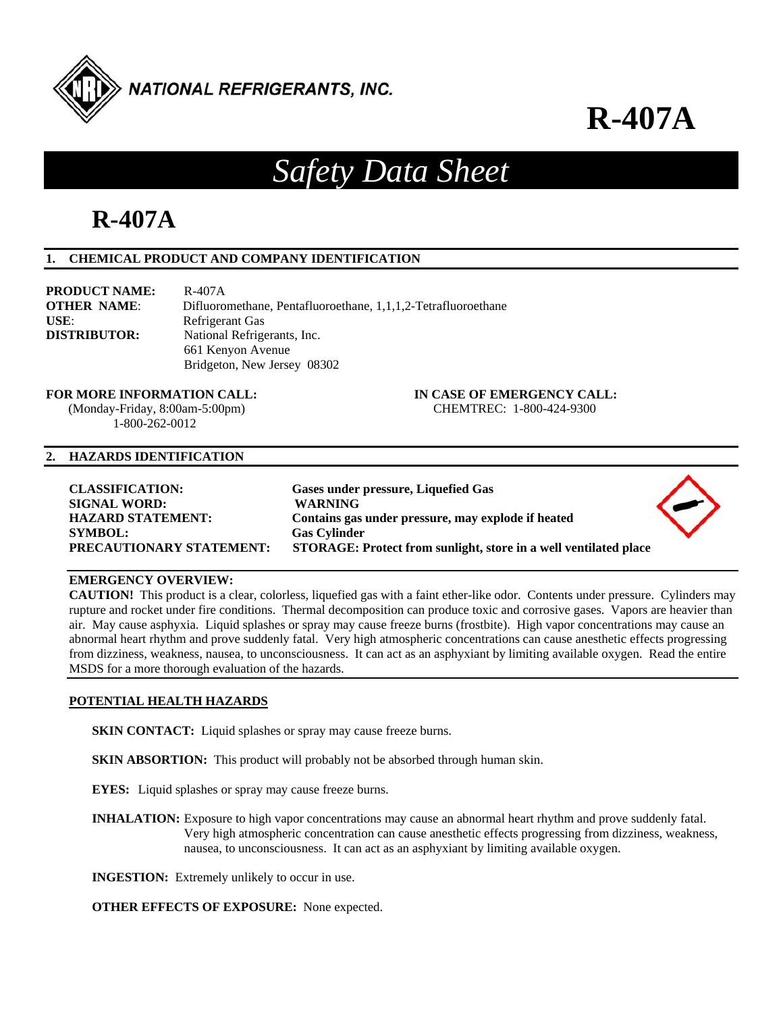

**R-407A**

# *Safety Data Sheet*

# **R-407A**

# **1. CHEMICAL PRODUCT AND COMPANY IDENTIFICATION**

| <b>PRODUCT NAME:</b> | R-407A                                                        |
|----------------------|---------------------------------------------------------------|
| <b>OTHER NAME:</b>   | Difluoromethane, Pentafluoroethane, 1,1,1,2-Tetrafluoroethane |
| USE:                 | Refrigerant Gas                                               |
| <b>DISTRIBUTOR:</b>  | National Refrigerants, Inc.                                   |
|                      | 661 Kenyon Avenue                                             |
|                      | Bridgeton, New Jersey 08302                                   |

**FOR MORE INFORMATION CALL: IN CASE OF EMERGENCY CALL:** 

1-800-262-0012

# (Monday-Friday, 8:00am-5:00pm) CHEMTREC: 1-800-424-9300

### **2. HAZARDS IDENTIFICATION**

| <b>CLASSIFICATION:</b><br><b>SIGNAL WORD:</b> | Gases under pressure, Liquefied Gas<br><b>WARNING</b>                     |  |
|-----------------------------------------------|---------------------------------------------------------------------------|--|
| <b>HAZARD STATEMENT:</b><br><b>SYMBOL:</b>    | Contains gas under pressure, may explode if heated<br><b>Gas Cylinder</b> |  |
| <b>PRECAUTIONARY STATEMENT:</b>               | STORAGE: Protect from sunlight, store in a well ventilated place          |  |

# **EMERGENCY OVERVIEW:**

**CAUTION!** This product is a clear, colorless, liquefied gas with a faint ether-like odor. Contents under pressure. Cylinders may rupture and rocket under fire conditions. Thermal decomposition can produce toxic and corrosive gases. Vapors are heavier than air. May cause asphyxia. Liquid splashes or spray may cause freeze burns (frostbite). High vapor concentrations may cause an abnormal heart rhythm and prove suddenly fatal. Very high atmospheric concentrations can cause anesthetic effects progressing from dizziness, weakness, nausea, to unconsciousness. It can act as an asphyxiant by limiting available oxygen. Read the entire MSDS for a more thorough evaluation of the hazards.

#### **POTENTIAL HEALTH HAZARDS**

**SKIN CONTACT:** Liquid splashes or spray may cause freeze burns.

**SKIN ABSORTION:** This product will probably not be absorbed through human skin.

**EYES:** Liquid splashes or spray may cause freeze burns.

**INHALATION:** Exposure to high vapor concentrations may cause an abnormal heart rhythm and prove suddenly fatal. Very high atmospheric concentration can cause anesthetic effects progressing from dizziness, weakness, nausea, to unconsciousness. It can act as an asphyxiant by limiting available oxygen.

**INGESTION:** Extremely unlikely to occur in use.

**OTHER EFFECTS OF EXPOSURE:** None expected.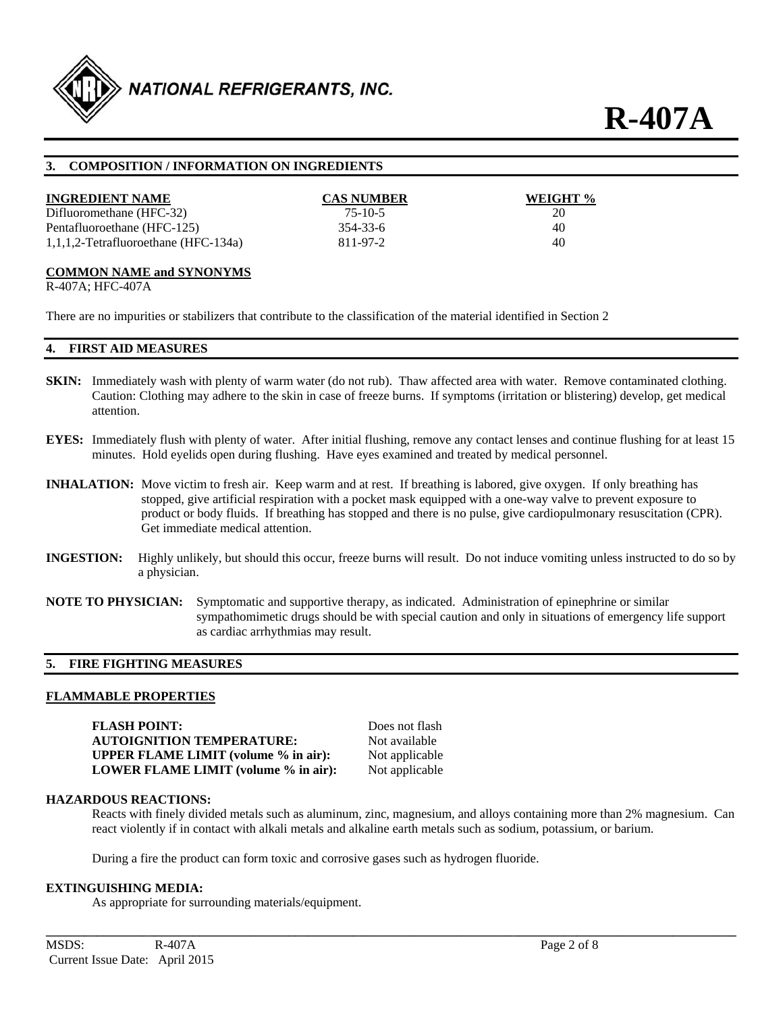

# **3. COMPOSITION / INFORMATION ON INGREDIENTS**

| <b>INGREDIENT NAME</b><br>Difluoromethane (HFC-32) | <b>CAS NUMBER</b><br>$75 - 10 - 5$ | WEIGHT %<br>20 |
|----------------------------------------------------|------------------------------------|----------------|
| Pentafluoroethane (HFC-125)                        | $354 - 33 - 6$                     | 40             |
| $1,1,1,2$ -Tetrafluoroethane (HFC-134a)            | 811-97-2                           | 40             |

### **COMMON NAME and SYNONYMS**

R-407A; HFC-407A

There are no impurities or stabilizers that contribute to the classification of the material identified in Section 2

### **4. FIRST AID MEASURES**

- **SKIN:** Immediately wash with plenty of warm water (do not rub). Thaw affected area with water. Remove contaminated clothing. Caution: Clothing may adhere to the skin in case of freeze burns. If symptoms (irritation or blistering) develop, get medical attention.
- **EYES:** Immediately flush with plenty of water. After initial flushing, remove any contact lenses and continue flushing for at least 15 minutes. Hold eyelids open during flushing. Have eyes examined and treated by medical personnel.
- **INHALATION:** Move victim to fresh air. Keep warm and at rest. If breathing is labored, give oxygen. If only breathing has stopped, give artificial respiration with a pocket mask equipped with a one-way valve to prevent exposure to product or body fluids. If breathing has stopped and there is no pulse, give cardiopulmonary resuscitation (CPR). Get immediate medical attention.
- **INGESTION:** Highly unlikely, but should this occur, freeze burns will result. Do not induce vomiting unless instructed to do so by a physician.
- **NOTE TO PHYSICIAN:** Symptomatic and supportive therapy, as indicated. Administration of epinephrine or similar sympathomimetic drugs should be with special caution and only in situations of emergency life support as cardiac arrhythmias may result.

#### **5. FIRE FIGHTING MEASURES**

#### **FLAMMABLE PROPERTIES**

**FLASH POINT:** Does not flash **AUTOIGNITION TEMPERATURE:** Not available **UPPER FLAME LIMIT (volume % in air):** Not applicable **LOWER FLAME LIMIT (volume % in air):** Not applicable

#### **HAZARDOUS REACTIONS:**

Reacts with finely divided metals such as aluminum, zinc, magnesium, and alloys containing more than 2% magnesium. Can react violently if in contact with alkali metals and alkaline earth metals such as sodium, potassium, or barium.

**\_\_\_\_\_\_\_\_\_\_\_\_\_\_\_\_\_\_\_\_\_\_\_\_\_\_\_\_\_\_\_\_\_\_\_\_\_\_\_\_\_\_\_\_\_\_\_\_\_\_\_\_\_\_\_\_\_\_\_\_\_\_\_\_\_\_\_\_\_\_\_\_\_\_\_\_\_\_\_\_\_\_\_\_\_\_\_\_\_\_\_\_\_\_\_\_\_\_\_\_\_\_\_\_\_\_\_\_** 

During a fire the product can form toxic and corrosive gases such as hydrogen fluoride.

#### **EXTINGUISHING MEDIA:**

As appropriate for surrounding materials/equipment.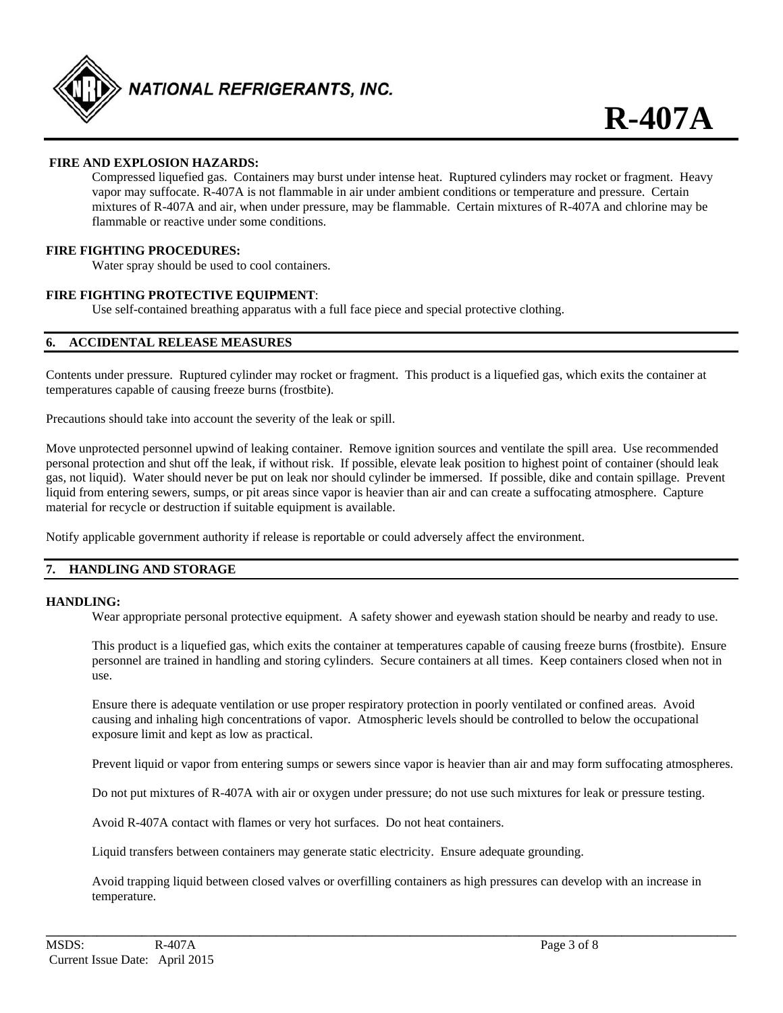

# **FIRE AND EXPLOSION HAZARDS:**

Compressed liquefied gas. Containers may burst under intense heat. Ruptured cylinders may rocket or fragment. Heavy vapor may suffocate. R-407A is not flammable in air under ambient conditions or temperature and pressure. Certain mixtures of R-407A and air, when under pressure, may be flammable. Certain mixtures of R-407A and chlorine may be flammable or reactive under some conditions.

#### **FIRE FIGHTING PROCEDURES:**

Water spray should be used to cool containers.

# **FIRE FIGHTING PROTECTIVE EQUIPMENT**:

Use self-contained breathing apparatus with a full face piece and special protective clothing.

# **6. ACCIDENTAL RELEASE MEASURES**

Contents under pressure. Ruptured cylinder may rocket or fragment. This product is a liquefied gas, which exits the container at temperatures capable of causing freeze burns (frostbite).

Precautions should take into account the severity of the leak or spill.

Move unprotected personnel upwind of leaking container. Remove ignition sources and ventilate the spill area. Use recommended personal protection and shut off the leak, if without risk. If possible, elevate leak position to highest point of container (should leak gas, not liquid). Water should never be put on leak nor should cylinder be immersed. If possible, dike and contain spillage. Prevent liquid from entering sewers, sumps, or pit areas since vapor is heavier than air and can create a suffocating atmosphere. Capture material for recycle or destruction if suitable equipment is available.

Notify applicable government authority if release is reportable or could adversely affect the environment.

# **7. HANDLING AND STORAGE**

#### **HANDLING:**

Wear appropriate personal protective equipment. A safety shower and eyewash station should be nearby and ready to use.

This product is a liquefied gas, which exits the container at temperatures capable of causing freeze burns (frostbite). Ensure personnel are trained in handling and storing cylinders. Secure containers at all times. Keep containers closed when not in use.

Ensure there is adequate ventilation or use proper respiratory protection in poorly ventilated or confined areas. Avoid causing and inhaling high concentrations of vapor. Atmospheric levels should be controlled to below the occupational exposure limit and kept as low as practical.

Prevent liquid or vapor from entering sumps or sewers since vapor is heavier than air and may form suffocating atmospheres.

Do not put mixtures of R-407A with air or oxygen under pressure; do not use such mixtures for leak or pressure testing.

Avoid R-407A contact with flames or very hot surfaces. Do not heat containers.

Liquid transfers between containers may generate static electricity. Ensure adequate grounding.

Avoid trapping liquid between closed valves or overfilling containers as high pressures can develop with an increase in temperature.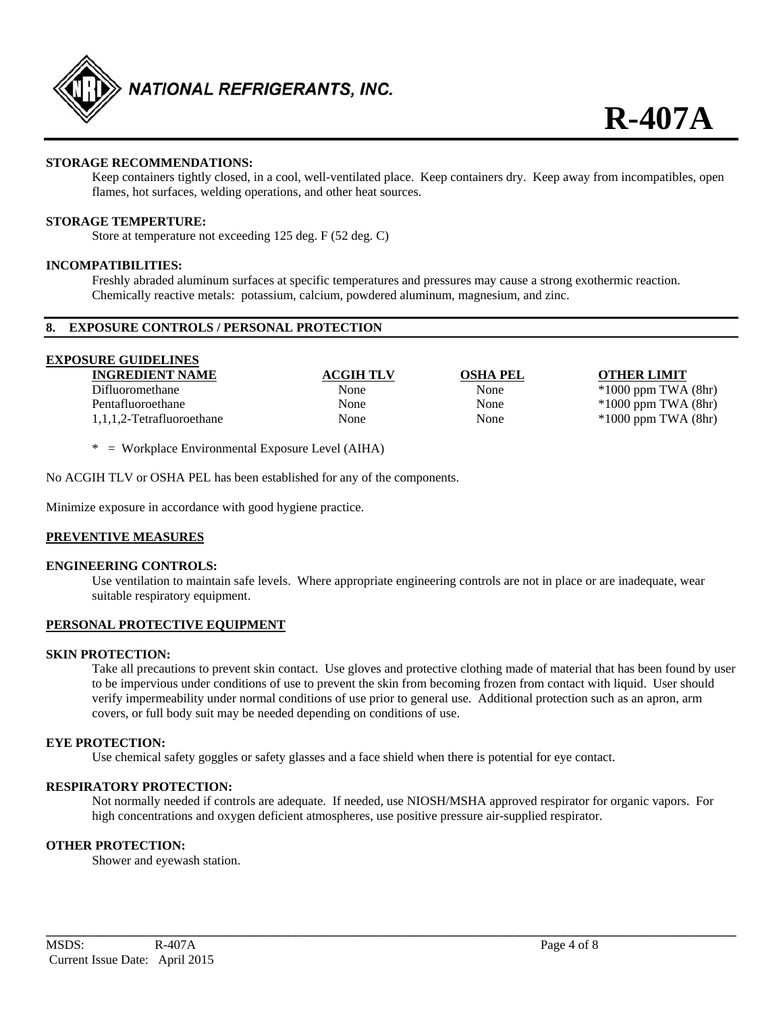

# **STORAGE RECOMMENDATIONS:**

Keep containers tightly closed, in a cool, well-ventilated place. Keep containers dry. Keep away from incompatibles, open flames, hot surfaces, welding operations, and other heat sources.

### **STORAGE TEMPERTURE:**

Store at temperature not exceeding 125 deg. F (52 deg. C)

#### **INCOMPATIBILITIES:**

Freshly abraded aluminum surfaces at specific temperatures and pressures may cause a strong exothermic reaction. Chemically reactive metals: potassium, calcium, powdered aluminum, magnesium, and zinc.

#### **8. EXPOSURE CONTROLS / PERSONAL PROTECTION**

| <b>EXPOSURE GUIDELINES</b> |                  |                 |                         |
|----------------------------|------------------|-----------------|-------------------------|
| <b>INGREDIENT NAME</b>     | <b>ACGIH TLV</b> | <b>OSHA PEL</b> | <b>OTHER LIMIT</b>      |
| Difluoromethane            | None             | None            | $*1000$ ppm TWA $(8hr)$ |
| Pentafluoroethane          | None             | None            | $*1000$ ppm TWA $(8hr)$ |
| 1,1,1,2-Tetrafluoroethane  | None             | None            | $*1000$ ppm TWA $(8hr)$ |
|                            |                  |                 |                         |

\* = Workplace Environmental Exposure Level (AIHA)

No ACGIH TLV or OSHA PEL has been established for any of the components.

Minimize exposure in accordance with good hygiene practice.

#### **PREVENTIVE MEASURES**

#### **ENGINEERING CONTROLS:**

Use ventilation to maintain safe levels. Where appropriate engineering controls are not in place or are inadequate, wear suitable respiratory equipment.

#### **PERSONAL PROTECTIVE EQUIPMENT**

#### **SKIN PROTECTION:**

Take all precautions to prevent skin contact. Use gloves and protective clothing made of material that has been found by user to be impervious under conditions of use to prevent the skin from becoming frozen from contact with liquid. User should verify impermeability under normal conditions of use prior to general use. Additional protection such as an apron, arm covers, or full body suit may be needed depending on conditions of use.

#### **EYE PROTECTION:**

Use chemical safety goggles or safety glasses and a face shield when there is potential for eye contact.

### **RESPIRATORY PROTECTION:**

Not normally needed if controls are adequate. If needed, use NIOSH/MSHA approved respirator for organic vapors. For high concentrations and oxygen deficient atmospheres, use positive pressure air-supplied respirator.

**\_\_\_\_\_\_\_\_\_\_\_\_\_\_\_\_\_\_\_\_\_\_\_\_\_\_\_\_\_\_\_\_\_\_\_\_\_\_\_\_\_\_\_\_\_\_\_\_\_\_\_\_\_\_\_\_\_\_\_\_\_\_\_\_\_\_\_\_\_\_\_\_\_\_\_\_\_\_\_\_\_\_\_\_\_\_\_\_\_\_\_\_\_\_\_\_\_\_\_\_\_\_\_\_\_\_\_\_** 

#### **OTHER PROTECTION:**

Shower and eyewash station.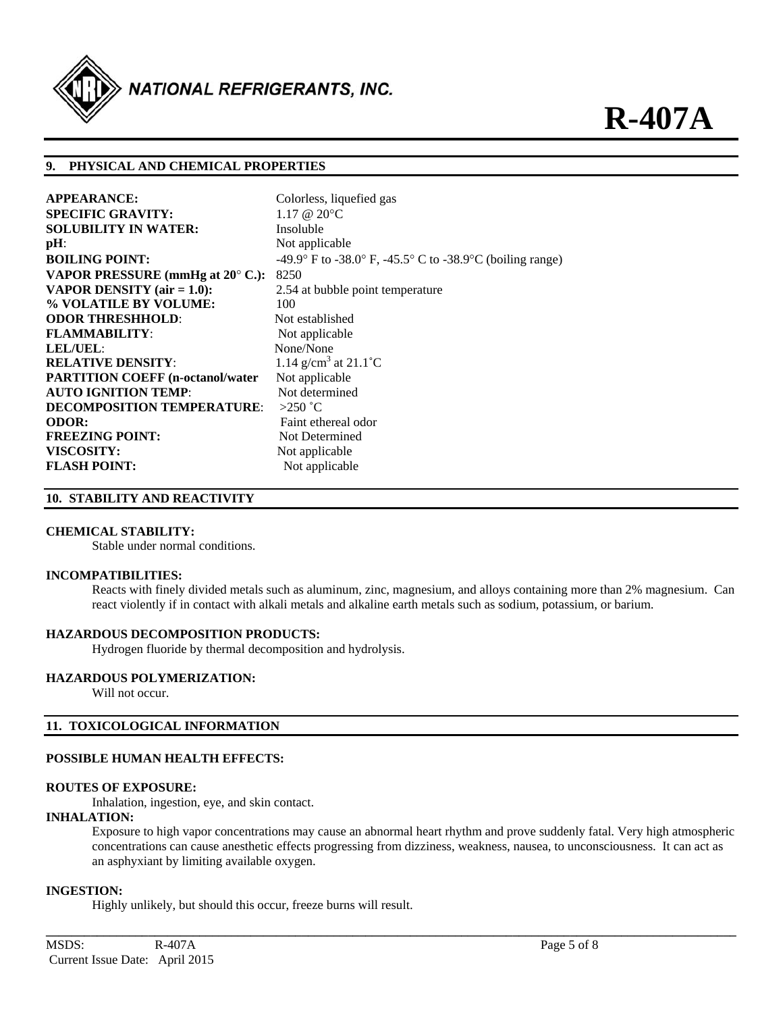

# **9. PHYSICAL AND CHEMICAL PROPERTIES**

| <b>APPEARANCE:</b>                        | Colorless, liquefied gas                                  |
|-------------------------------------------|-----------------------------------------------------------|
| <b>SPECIFIC GRAVITY:</b>                  | $1.17 \ @ \ 20^{\circ}C$                                  |
| <b>SOLUBILITY IN WATER:</b>               | Insoluble                                                 |
| $pH$ :                                    | Not applicable                                            |
| <b>BOILING POINT:</b>                     | -49.9° F to -38.0° F, -45.5° C to -38.9°C (boiling range) |
| VAPOR PRESSURE (mmHg at $20^{\circ}$ C.): | 8250                                                      |
| VAPOR DENSITY $(air = 1.0)$ :             | 2.54 at bubble point temperature                          |
| % VOLATILE BY VOLUME:                     | 100                                                       |
| <b>ODOR THRESHHOLD:</b>                   | Not established                                           |
| <b>FLAMMABILITY:</b>                      | Not applicable                                            |
| <b>LEL/UEL:</b>                           | None/None                                                 |
| <b>RELATIVE DENSITY:</b>                  | 1.14 g/cm <sup>3</sup> at 21.1 °C                         |
| <b>PARTITION COEFF (n-octanol/water)</b>  | Not applicable                                            |
| <b>AUTO IGNITION TEMP:</b>                | Not determined                                            |
| <b>DECOMPOSITION TEMPERATURE:</b>         | $>250$ °C                                                 |
| <b>ODOR:</b>                              | Faint ethereal odor                                       |
| <b>FREEZING POINT:</b>                    | Not Determined                                            |
| VISCOSITY:                                | Not applicable                                            |
| <b>FLASH POINT:</b>                       | Not applicable                                            |

#### **10. STABILITY AND REACTIVITY**

#### **CHEMICAL STABILITY:**

Stable under normal conditions.

#### **INCOMPATIBILITIES:**

Reacts with finely divided metals such as aluminum, zinc, magnesium, and alloys containing more than 2% magnesium. Can react violently if in contact with alkali metals and alkaline earth metals such as sodium, potassium, or barium.

#### **HAZARDOUS DECOMPOSITION PRODUCTS:**

Hydrogen fluoride by thermal decomposition and hydrolysis.

#### **HAZARDOUS POLYMERIZATION:**

Will not occur.

#### **11. TOXICOLOGICAL INFORMATION**

#### **POSSIBLE HUMAN HEALTH EFFECTS:**

#### **ROUTES OF EXPOSURE:**

Inhalation, ingestion, eye, and skin contact.

#### **INHALATION:**

Exposure to high vapor concentrations may cause an abnormal heart rhythm and prove suddenly fatal. Very high atmospheric concentrations can cause anesthetic effects progressing from dizziness, weakness, nausea, to unconsciousness. It can act as an asphyxiant by limiting available oxygen.

**\_\_\_\_\_\_\_\_\_\_\_\_\_\_\_\_\_\_\_\_\_\_\_\_\_\_\_\_\_\_\_\_\_\_\_\_\_\_\_\_\_\_\_\_\_\_\_\_\_\_\_\_\_\_\_\_\_\_\_\_\_\_\_\_\_\_\_\_\_\_\_\_\_\_\_\_\_\_\_\_\_\_\_\_\_\_\_\_\_\_\_\_\_\_\_\_\_\_\_\_\_\_\_\_\_\_\_\_** 

#### **INGESTION:**

Highly unlikely, but should this occur, freeze burns will result.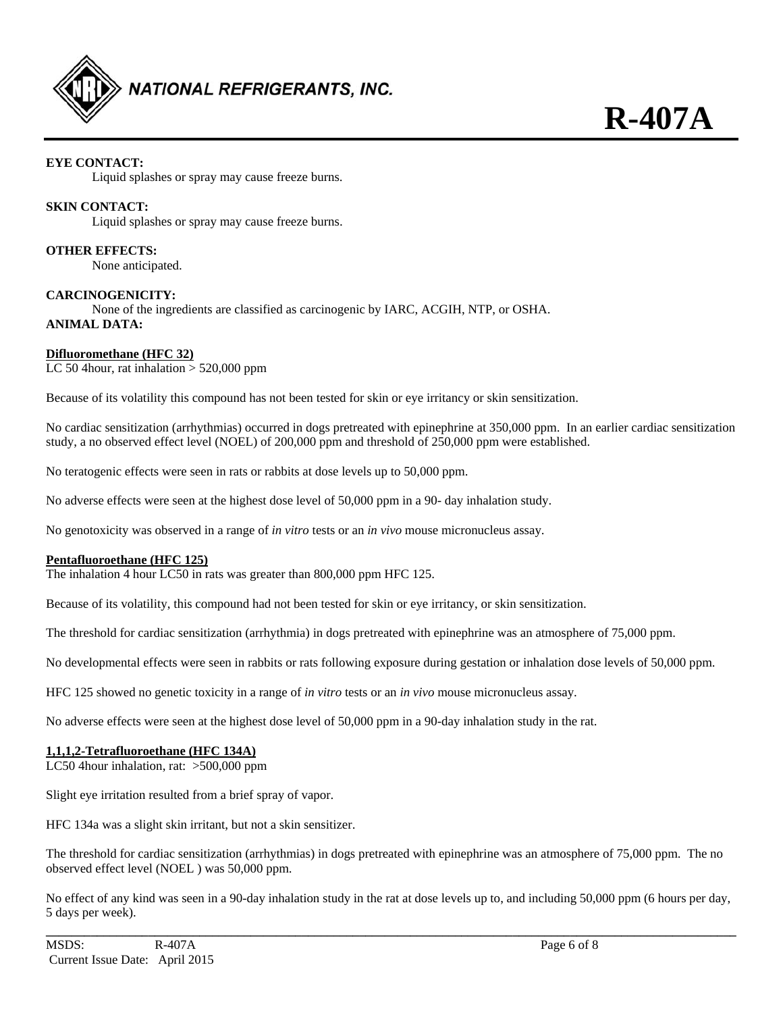

# **EYE CONTACT:**

Liquid splashes or spray may cause freeze burns.

# **SKIN CONTACT:**

Liquid splashes or spray may cause freeze burns.

**OTHER EFFECTS:** 

None anticipated.

# **CARCINOGENICITY:**

None of the ingredients are classified as carcinogenic by IARC, ACGIH, NTP, or OSHA. **ANIMAL DATA:** 

# **Difluoromethane (HFC 32)**

LC 50 4 hour, rat inhalation  $>$  520,000 ppm

Because of its volatility this compound has not been tested for skin or eye irritancy or skin sensitization.

No cardiac sensitization (arrhythmias) occurred in dogs pretreated with epinephrine at 350,000 ppm. In an earlier cardiac sensitization study, a no observed effect level (NOEL) of 200,000 ppm and threshold of 250,000 ppm were established.

No teratogenic effects were seen in rats or rabbits at dose levels up to 50,000 ppm.

No adverse effects were seen at the highest dose level of 50,000 ppm in a 90- day inhalation study.

No genotoxicity was observed in a range of *in vitro* tests or an *in vivo* mouse micronucleus assay.

# **Pentafluoroethane (HFC 125)**

The inhalation 4 hour LC50 in rats was greater than 800,000 ppm HFC 125.

Because of its volatility, this compound had not been tested for skin or eye irritancy, or skin sensitization.

The threshold for cardiac sensitization (arrhythmia) in dogs pretreated with epinephrine was an atmosphere of 75,000 ppm.

No developmental effects were seen in rabbits or rats following exposure during gestation or inhalation dose levels of 50,000 ppm.

HFC 125 showed no genetic toxicity in a range of *in vitro* tests or an *in vivo* mouse micronucleus assay.

No adverse effects were seen at the highest dose level of 50,000 ppm in a 90-day inhalation study in the rat.

# **1,1,1,2-Tetrafluoroethane (HFC 134A)**

LC50 4hour inhalation, rat: >500,000 ppm

Slight eye irritation resulted from a brief spray of vapor.

HFC 134a was a slight skin irritant, but not a skin sensitizer.

The threshold for cardiac sensitization (arrhythmias) in dogs pretreated with epinephrine was an atmosphere of 75,000 ppm. The no observed effect level (NOEL ) was 50,000 ppm.

No effect of any kind was seen in a 90-day inhalation study in the rat at dose levels up to, and including 50,000 ppm (6 hours per day, 5 days per week).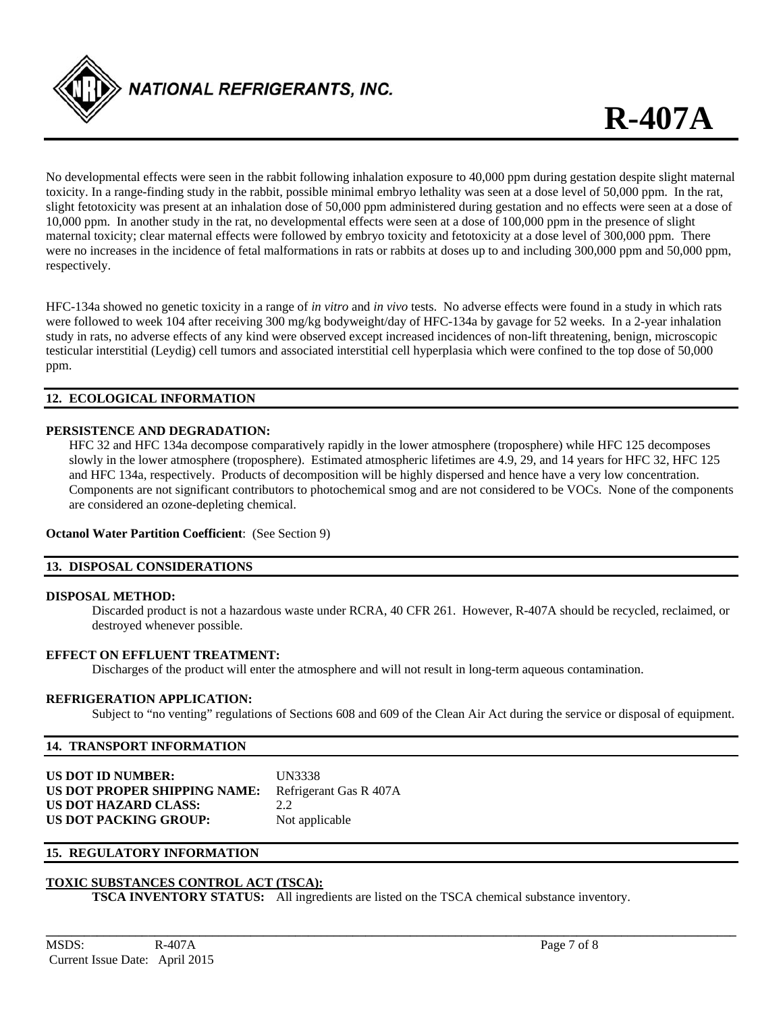

No developmental effects were seen in the rabbit following inhalation exposure to 40,000 ppm during gestation despite slight maternal toxicity. In a range-finding study in the rabbit, possible minimal embryo lethality was seen at a dose level of 50,000 ppm. In the rat, slight fetotoxicity was present at an inhalation dose of 50,000 ppm administered during gestation and no effects were seen at a dose of 10,000 ppm. In another study in the rat, no developmental effects were seen at a dose of 100,000 ppm in the presence of slight maternal toxicity; clear maternal effects were followed by embryo toxicity and fetotoxicity at a dose level of 300,000 ppm. There were no increases in the incidence of fetal malformations in rats or rabbits at doses up to and including 300,000 ppm and 50,000 ppm, respectively.

HFC-134a showed no genetic toxicity in a range of *in vitro* and *in vivo* tests. No adverse effects were found in a study in which rats were followed to week 104 after receiving 300 mg/kg bodyweight/day of HFC-134a by gavage for 52 weeks. In a 2-year inhalation study in rats, no adverse effects of any kind were observed except increased incidences of non-lift threatening, benign, microscopic testicular interstitial (Leydig) cell tumors and associated interstitial cell hyperplasia which were confined to the top dose of 50,000 ppm.

# **12. ECOLOGICAL INFORMATION**

### **PERSISTENCE AND DEGRADATION:**

HFC 32 and HFC 134a decompose comparatively rapidly in the lower atmosphere (troposphere) while HFC 125 decomposes slowly in the lower atmosphere (troposphere). Estimated atmospheric lifetimes are 4.9, 29, and 14 years for HFC 32, HFC 125 and HFC 134a, respectively. Products of decomposition will be highly dispersed and hence have a very low concentration. Components are not significant contributors to photochemical smog and are not considered to be VOCs. None of the components are considered an ozone-depleting chemical.

### **Octanol Water Partition Coefficient**: (See Section 9)

# **13. DISPOSAL CONSIDERATIONS**

#### **DISPOSAL METHOD:**

Discarded product is not a hazardous waste under RCRA, 40 CFR 261. However, R-407A should be recycled, reclaimed, or destroyed whenever possible.

# **EFFECT ON EFFLUENT TREATMENT:**

Discharges of the product will enter the atmosphere and will not result in long-term aqueous contamination.

# **REFRIGERATION APPLICATION:**

Subject to "no venting" regulations of Sections 608 and 609 of the Clean Air Act during the service or disposal of equipment.

#### **14. TRANSPORT INFORMATION**

| <b>US DOT ID NUMBER:</b>     | <b>UN3338</b>          |
|------------------------------|------------------------|
| US DOT PROPER SHIPPING NAME: | Refrigerant Gas R 407A |
| <b>US DOT HAZARD CLASS:</b>  | 22                     |
| US DOT PACKING GROUP:        | Not applicable         |

#### **15. REGULATORY INFORMATION**

# **TOXIC SUBSTANCES CONTROL ACT (TSCA):**

**TSCA INVENTORY STATUS:** All ingredients are listed on the TSCA chemical substance inventory.